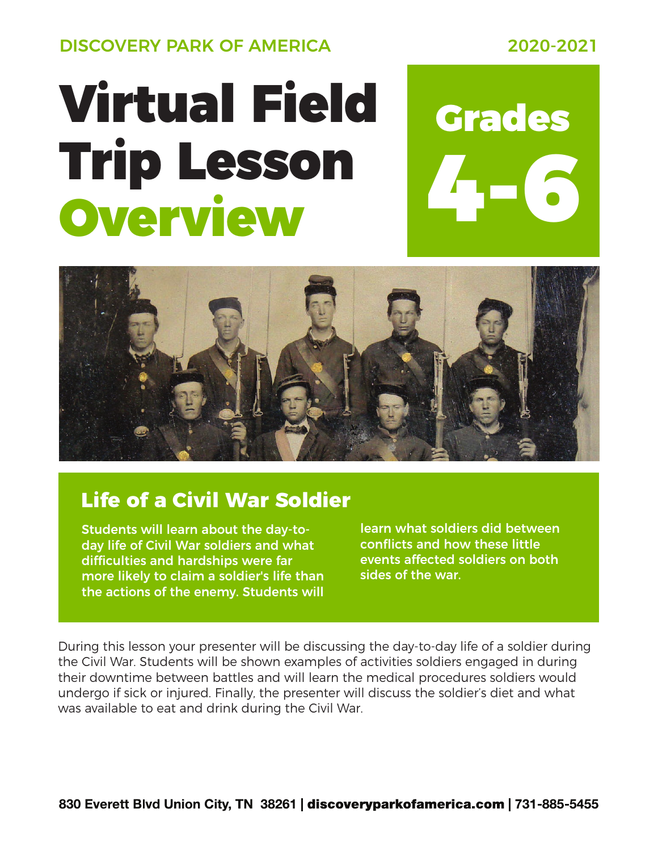DISCOVERY PARK OF AMERICA 2020-2021

# Virtual Field Grades Trip Lesson Overview

# 4-6



## **Life of a Civil War Soldier**

Students will learn about the day-today life of Civil War soldiers and what difficulties and hardships were far more likely to claim a soldier's life than the actions of the enemy. Students will

learn what soldiers did between conflicts and how these little events affected soldiers on both sides of the war.

During this lesson your presenter will be discussing the day-to-day life of a soldier during the Civil War. Students will be shown examples of activities soldiers engaged in during their downtime between battles and will learn the medical procedures soldiers would undergo if sick or injured. Finally, the presenter will discuss the soldier's diet and what was available to eat and drink during the Civil War.